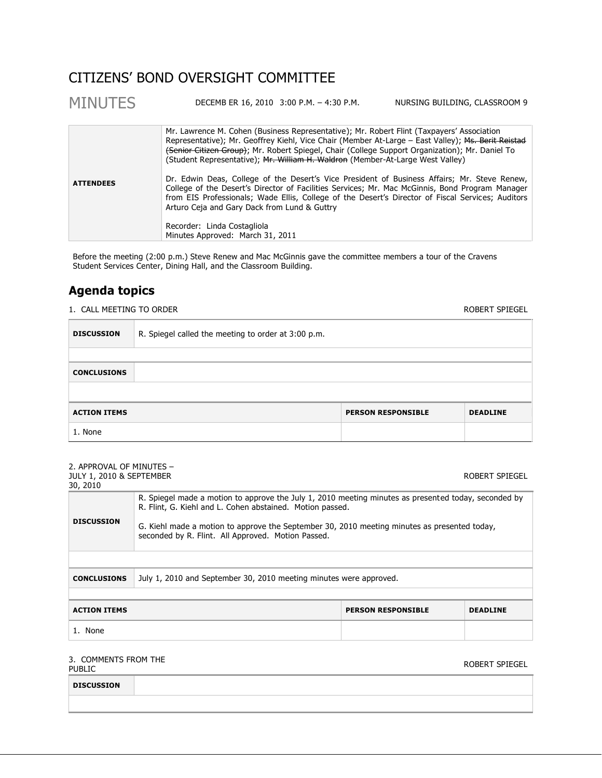## CITIZENS' BOND OVERSIGHT COMMITTEE

| <b>MINUTES</b>   | DECEMB ER 16, 2010 3:00 P.M. - 4:30 P.M.                                                                                                                                                                                                                                                                                                                                             | NURSING BUILDING, CLASSROOM 9 |
|------------------|--------------------------------------------------------------------------------------------------------------------------------------------------------------------------------------------------------------------------------------------------------------------------------------------------------------------------------------------------------------------------------------|-------------------------------|
|                  | Mr. Lawrence M. Cohen (Business Representative); Mr. Robert Flint (Taxpayers' Association<br>Representative); Mr. Geoffrey Kiehl, Vice Chair (Member At-Large – East Valley); Ms. Berit Reistad<br>(Senior Citizen Group); Mr. Robert Spiegel, Chair (College Support Organization); Mr. Daniel To<br>(Student Representative); Mr. William H. Waldron (Member-At-Large West Valley) |                               |
| <b>ATTENDEES</b> | Dr. Edwin Deas, College of the Desert's Vice President of Business Affairs; Mr. Steve Renew,<br>College of the Desert's Director of Facilities Services; Mr. Mac McGinnis, Bond Program Manager<br>from EIS Professionals; Wade Ellis, College of the Desert's Director of Fiscal Services; Auditors<br>Arturo Ceja and Gary Dack from Lund & Guttry                                 |                               |
|                  | Recorder: Linda Costagliola<br>Minutes Approved: March 31, 2011                                                                                                                                                                                                                                                                                                                      |                               |

Before the meeting (2:00 p.m.) Steve Renew and Mac McGinnis gave the committee members a tour of the Cravens Student Services Center, Dining Hall, and the Classroom Building.

### **Agenda topics**

1. CALL MEETING TO ORDER **ROBERT SPIEGEL** 

| <b>DISCUSSION</b>   | R. Spiegel called the meeting to order at 3:00 p.m. |                           |                 |
|---------------------|-----------------------------------------------------|---------------------------|-----------------|
|                     |                                                     |                           |                 |
| <b>CONCLUSIONS</b>  |                                                     |                           |                 |
|                     |                                                     |                           |                 |
| <b>ACTION ITEMS</b> |                                                     | <b>PERSON RESPONSIBLE</b> | <b>DEADLINE</b> |
| 1. None             |                                                     |                           |                 |

| 2. APPROVAL OF MINUTES -<br><b>JULY 1, 2010 &amp; SEPTEMBER</b><br>30, 2010 |                                                                                                                                                                                                                                                                                                                         |                           | ROBERT SPIEGEL  |
|-----------------------------------------------------------------------------|-------------------------------------------------------------------------------------------------------------------------------------------------------------------------------------------------------------------------------------------------------------------------------------------------------------------------|---------------------------|-----------------|
| <b>DISCUSSION</b>                                                           | R. Spiegel made a motion to approve the July 1, 2010 meeting minutes as presented today, seconded by<br>R. Flint, G. Kiehl and L. Cohen abstained. Motion passed.<br>G. Kiehl made a motion to approve the September 30, 2010 meeting minutes as presented today,<br>seconded by R. Flint. All Approved. Motion Passed. |                           |                 |
|                                                                             |                                                                                                                                                                                                                                                                                                                         |                           |                 |
| <b>CONCLUSIONS</b>                                                          | July 1, 2010 and September 30, 2010 meeting minutes were approved.                                                                                                                                                                                                                                                      |                           |                 |
|                                                                             |                                                                                                                                                                                                                                                                                                                         |                           |                 |
| <b>ACTION ITEMS</b>                                                         |                                                                                                                                                                                                                                                                                                                         | <b>PERSON RESPONSIBLE</b> | <b>DEADLINE</b> |
| 1. None                                                                     |                                                                                                                                                                                                                                                                                                                         |                           |                 |

# 3. COMMENTS FROM THE

PUBLIC COMMENTS INCH THE SERVICE OF THE SERVICE OF THE SERVICE OF THE SPIEGE OF THE SPIEGE OF THE SPIEGE OF THE SPIEGE OF THE SPIEGE OF THE SPIEGE OF THE SPIEGE OF THE SPIEGE OF THE SPIEGE OF THE SPIEGE OF THE SPIEGE OF TH

| <b>DISCUSSION</b> |  |  |
|-------------------|--|--|
|                   |  |  |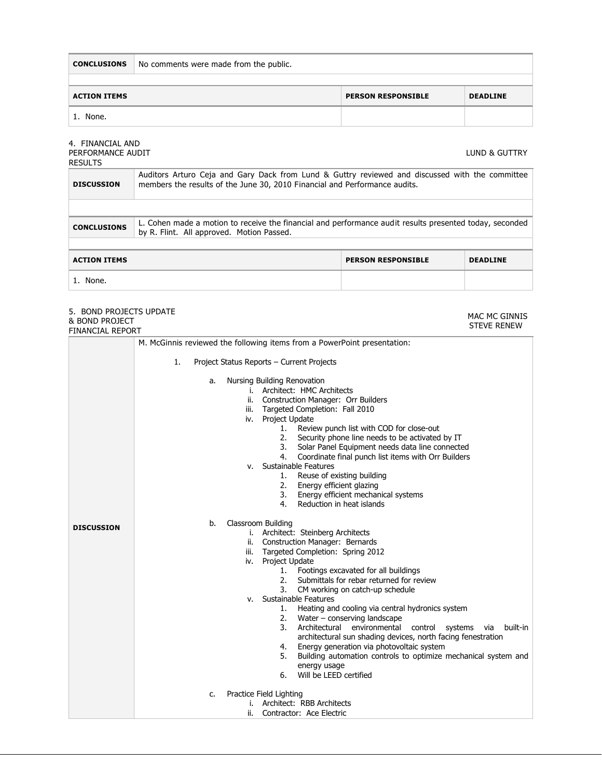**CONCLUSIONS** No comments were made from the public.

| <b>ACTION ITEMS</b> | <b>PERSON RESPONSIBLE</b> | <b>DEADLINE</b> |
|---------------------|---------------------------|-----------------|
| None.               |                           |                 |

#### 4. FINANCIAL AND PERFORMANCE AUDIT

LUND & GUTTRY

| <b>RESULTS</b>      |                                                                                                                                                                               |                           |                 |
|---------------------|-------------------------------------------------------------------------------------------------------------------------------------------------------------------------------|---------------------------|-----------------|
| <b>DISCUSSION</b>   | Auditors Arturo Ceja and Gary Dack from Lund & Guttry reviewed and discussed with the committee<br>members the results of the June 30, 2010 Financial and Performance audits. |                           |                 |
|                     |                                                                                                                                                                               |                           |                 |
| <b>CONCLUSIONS</b>  | L. Cohen made a motion to receive the financial and performance audit results presented today, seconded<br>by R. Flint. All approved. Motion Passed.                          |                           |                 |
|                     |                                                                                                                                                                               |                           |                 |
| <b>ACTION ITEMS</b> |                                                                                                                                                                               | <b>PERSON RESPONSIBLE</b> | <b>DEADLINE</b> |
| 1. None.            |                                                                                                                                                                               |                           |                 |

#### 5. BOND PROJECTS UPDATE & BOND PROJECT FINANCIAL REPORT

MAC MC GINNIS STEVE RENEW

|                   | M. McGinnis reviewed the following items from a PowerPoint presentation:                                                                                                                                                                                                                                                                                                                                                                                                                                                                                                                                                                                                                                                                                   |  |  |
|-------------------|------------------------------------------------------------------------------------------------------------------------------------------------------------------------------------------------------------------------------------------------------------------------------------------------------------------------------------------------------------------------------------------------------------------------------------------------------------------------------------------------------------------------------------------------------------------------------------------------------------------------------------------------------------------------------------------------------------------------------------------------------------|--|--|
|                   | 1.<br>Project Status Reports - Current Projects                                                                                                                                                                                                                                                                                                                                                                                                                                                                                                                                                                                                                                                                                                            |  |  |
|                   | Nursing Building Renovation<br>a.<br>i. Architect: HMC Architects<br>Construction Manager: Orr Builders<br>ii.<br>Targeted Completion: Fall 2010<br>iii.<br>iv. Project Update<br>Review punch list with COD for close-out<br>1.<br>2. Security phone line needs to be activated by IT<br>3. Solar Panel Equipment needs data line connected<br>4. Coordinate final punch list items with Orr Builders<br>Sustainable Features<br>v.<br>1. Reuse of existing building<br>2.<br>Energy efficient glazing<br>3. Energy efficient mechanical systems<br>Reduction in heat islands<br>4.                                                                                                                                                                       |  |  |
| <b>DISCUSSION</b> | Classroom Building<br>b.<br>i. Architect: Steinberg Architects<br>Construction Manager: Bernards<br>ii.<br>Targeted Completion: Spring 2012<br>iii.<br>iv. Project Update<br>1. Footings excavated for all buildings<br>2. Submittals for rebar returned for review<br>3. CM working on catch-up schedule<br>Sustainable Features<br>V.<br>1. Heating and cooling via central hydronics system<br>2.<br>Water – conserving landscape<br>3.<br>Architectural environmental<br>control systems<br>built-in<br>via<br>architectural sun shading devices, north facing fenestration<br>Energy generation via photovoltaic system<br>4.<br>Building automation controls to optimize mechanical system and<br>5.<br>energy usage<br>Will be LEED certified<br>6. |  |  |
|                   | Practice Field Lighting<br>c.<br>Architect: RBB Architects<br>i.<br>Contractor: Ace Electric<br>ii.                                                                                                                                                                                                                                                                                                                                                                                                                                                                                                                                                                                                                                                        |  |  |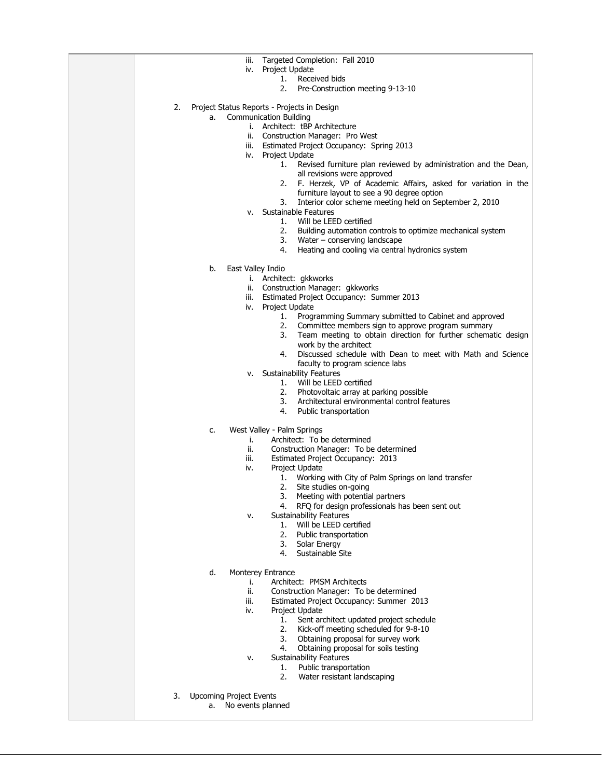| Targeted Completion: Fall 2010<br>iii.                                                                      |
|-------------------------------------------------------------------------------------------------------------|
| Project Update<br>iv.                                                                                       |
| Received bids<br>1.<br>2.<br>Pre-Construction meeting 9-13-10                                               |
|                                                                                                             |
| 2.<br>Project Status Reports - Projects in Design                                                           |
| <b>Communication Building</b><br>a.                                                                         |
| i. Architect: tBP Architecture                                                                              |
| ii. Construction Manager: Pro West<br>Estimated Project Occupancy: Spring 2013<br>iii.                      |
| iv. Project Update                                                                                          |
| 1.<br>Revised furniture plan reviewed by administration and the Dean,                                       |
| all revisions were approved                                                                                 |
| F. Herzek, VP of Academic Affairs, asked for variation in the<br>2.                                         |
| furniture layout to see a 90 degree option<br>Interior color scheme meeting held on September 2, 2010<br>3. |
| Sustainable Features<br>v.                                                                                  |
| Will be LEED certified<br>1.                                                                                |
| 2.<br>Building automation controls to optimize mechanical system                                            |
| 3.<br>Water $-$ conserving landscape                                                                        |
| 4.<br>Heating and cooling via central hydronics system                                                      |
| East Valley Indio<br>b.                                                                                     |
| i. Architect: gkkworks                                                                                      |
| ii. Construction Manager: gkkworks                                                                          |
| Estimated Project Occupancy: Summer 2013<br>iii.                                                            |
| iv. Project Update<br>Programming Summary submitted to Cabinet and approved<br>1.                           |
| 2.<br>Committee members sign to approve program summary                                                     |
| 3.<br>Team meeting to obtain direction for further schematic design                                         |
| work by the architect                                                                                       |
| Discussed schedule with Dean to meet with Math and Science<br>4.                                            |
| faculty to program science labs<br><b>Sustainability Features</b><br>٧.                                     |
| Will be LEED certified<br>1.                                                                                |
| 2.<br>Photovoltaic array at parking possible                                                                |
| 3.<br>Architectural environmental control features                                                          |
| 4.<br>Public transportation                                                                                 |
| West Valley - Palm Springs<br>c.                                                                            |
| Architect: To be determined<br>i.                                                                           |
| ii.<br>Construction Manager: To be determined                                                               |
| iii.<br>Estimated Project Occupancy: 2013<br>Project Update<br>iv.                                          |
| Working with City of Palm Springs on land transfer<br>1.                                                    |
| 2.<br>Site studies on-going                                                                                 |
| Meeting with potential partners<br>3.                                                                       |
| RFQ for design professionals has been sent out<br>4.                                                        |
| Sustainability Features<br>٧.<br>Will be LEED certified<br>1.                                               |
| 2.<br>Public transportation                                                                                 |
| 3.<br>Solar Energy                                                                                          |
| Sustainable Site<br>4.                                                                                      |
| d.<br>Monterey Entrance                                                                                     |
| Architect: PMSM Architects<br>i.                                                                            |
| ii.<br>Construction Manager: To be determined                                                               |
| iii.<br>Estimated Project Occupancy: Summer 2013                                                            |
| Project Update<br>iv.                                                                                       |
| 1.<br>Sent architect updated project schedule<br>2.<br>Kick-off meeting scheduled for 9-8-10                |
| 3.<br>Obtaining proposal for survey work                                                                    |
| 4.<br>Obtaining proposal for soils testing                                                                  |
| <b>Sustainability Features</b><br>٧.                                                                        |
| 1.<br>Public transportation<br>2.                                                                           |
| Water resistant landscaping                                                                                 |
| <b>Upcoming Project Events</b><br>3.                                                                        |
| No events planned<br>a.                                                                                     |
|                                                                                                             |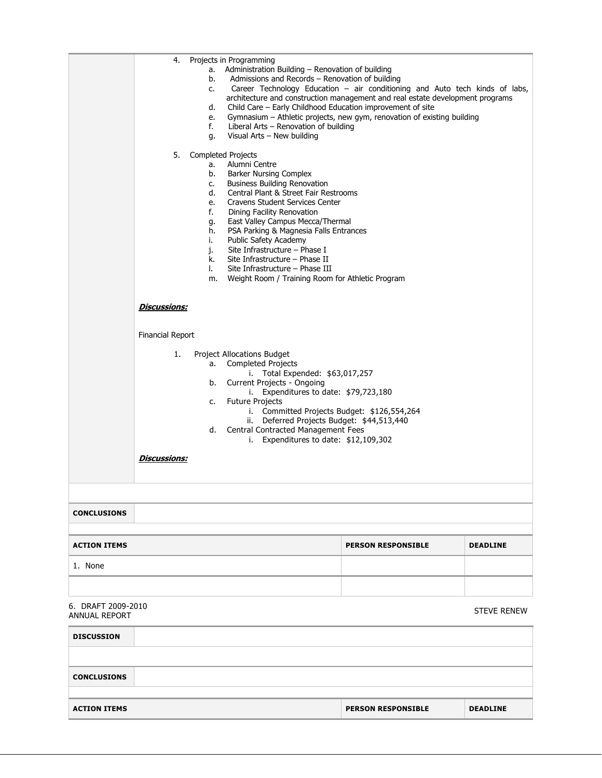|                                     | 4.<br>5.                                                                                                                                                                                                                                                                                                                                                                                                                                                                        | a.<br>b.<br>c.<br>d.<br>e.<br>f.<br>g.<br>а.<br>b.<br>c.<br>d.<br>e.<br>f.<br>g.<br>h.<br>i.<br>j.<br>k.<br>I.<br>m. | Projects in Programming<br>Administration Building - Renovation of building<br>Admissions and Records - Renovation of building<br>Child Care - Early Childhood Education improvement of site<br>Liberal Arts - Renovation of building<br>Visual Arts - New building<br><b>Completed Projects</b><br>Alumni Centre<br>Barker Nursing Complex<br><b>Business Building Renovation</b><br>Central Plant & Street Fair Restrooms<br>Cravens Student Services Center<br>Dining Facility Renovation<br>East Valley Campus Mecca/Thermal<br>PSA Parking & Magnesia Falls Entrances<br>Public Safety Academy<br>Site Infrastructure - Phase I<br>Site Infrastructure - Phase II<br>Site Infrastructure - Phase III<br>Weight Room / Training Room for Athletic Program | Career Technology Education - air conditioning and Auto tech kinds of labs,<br>architecture and construction management and real estate development programs<br>Gymnasium - Athletic projects, new gym, renovation of existing building |                    |
|-------------------------------------|---------------------------------------------------------------------------------------------------------------------------------------------------------------------------------------------------------------------------------------------------------------------------------------------------------------------------------------------------------------------------------------------------------------------------------------------------------------------------------|----------------------------------------------------------------------------------------------------------------------|---------------------------------------------------------------------------------------------------------------------------------------------------------------------------------------------------------------------------------------------------------------------------------------------------------------------------------------------------------------------------------------------------------------------------------------------------------------------------------------------------------------------------------------------------------------------------------------------------------------------------------------------------------------------------------------------------------------------------------------------------------------|-----------------------------------------------------------------------------------------------------------------------------------------------------------------------------------------------------------------------------------------|--------------------|
|                                     | <u>Discussions:</u><br><b>Financial Report</b><br>1.<br>Project Allocations Budget<br><b>Completed Projects</b><br>а.<br>i. Total Expended: \$63,017,257<br>Current Projects - Ongoing<br>b.<br>i. Expenditures to date: \$79,723,180<br><b>Future Projects</b><br>c.<br>i. Committed Projects Budget: \$126,554,264<br>ii. Deferred Projects Budget: \$44,513,440<br>Central Contracted Management Fees<br>d.<br>i. Expenditures to date: $$12,109,302$<br><u>Discussions:</u> |                                                                                                                      |                                                                                                                                                                                                                                                                                                                                                                                                                                                                                                                                                                                                                                                                                                                                                               |                                                                                                                                                                                                                                         |                    |
| <b>CONCLUSIONS</b>                  |                                                                                                                                                                                                                                                                                                                                                                                                                                                                                 |                                                                                                                      |                                                                                                                                                                                                                                                                                                                                                                                                                                                                                                                                                                                                                                                                                                                                                               |                                                                                                                                                                                                                                         |                    |
| <b>ACTION ITEMS</b>                 |                                                                                                                                                                                                                                                                                                                                                                                                                                                                                 |                                                                                                                      |                                                                                                                                                                                                                                                                                                                                                                                                                                                                                                                                                                                                                                                                                                                                                               | <b>PERSON RESPONSIBLE</b>                                                                                                                                                                                                               | <b>DEADLINE</b>    |
| 1. None                             |                                                                                                                                                                                                                                                                                                                                                                                                                                                                                 |                                                                                                                      |                                                                                                                                                                                                                                                                                                                                                                                                                                                                                                                                                                                                                                                                                                                                                               |                                                                                                                                                                                                                                         |                    |
|                                     |                                                                                                                                                                                                                                                                                                                                                                                                                                                                                 |                                                                                                                      |                                                                                                                                                                                                                                                                                                                                                                                                                                                                                                                                                                                                                                                                                                                                                               |                                                                                                                                                                                                                                         |                    |
| 6. DRAFT 2009-2010<br>ANNUAL REPORT |                                                                                                                                                                                                                                                                                                                                                                                                                                                                                 |                                                                                                                      |                                                                                                                                                                                                                                                                                                                                                                                                                                                                                                                                                                                                                                                                                                                                                               |                                                                                                                                                                                                                                         | <b>STEVE RENEW</b> |
| <b>DISCUSSION</b>                   |                                                                                                                                                                                                                                                                                                                                                                                                                                                                                 |                                                                                                                      |                                                                                                                                                                                                                                                                                                                                                                                                                                                                                                                                                                                                                                                                                                                                                               |                                                                                                                                                                                                                                         |                    |
| <b>CONCLUSIONS</b>                  |                                                                                                                                                                                                                                                                                                                                                                                                                                                                                 |                                                                                                                      |                                                                                                                                                                                                                                                                                                                                                                                                                                                                                                                                                                                                                                                                                                                                                               |                                                                                                                                                                                                                                         |                    |
| <b>ACTION ITEMS</b>                 |                                                                                                                                                                                                                                                                                                                                                                                                                                                                                 |                                                                                                                      |                                                                                                                                                                                                                                                                                                                                                                                                                                                                                                                                                                                                                                                                                                                                                               | <b>PERSON RESPONSIBLE</b>                                                                                                                                                                                                               | <b>DEADLINE</b>    |